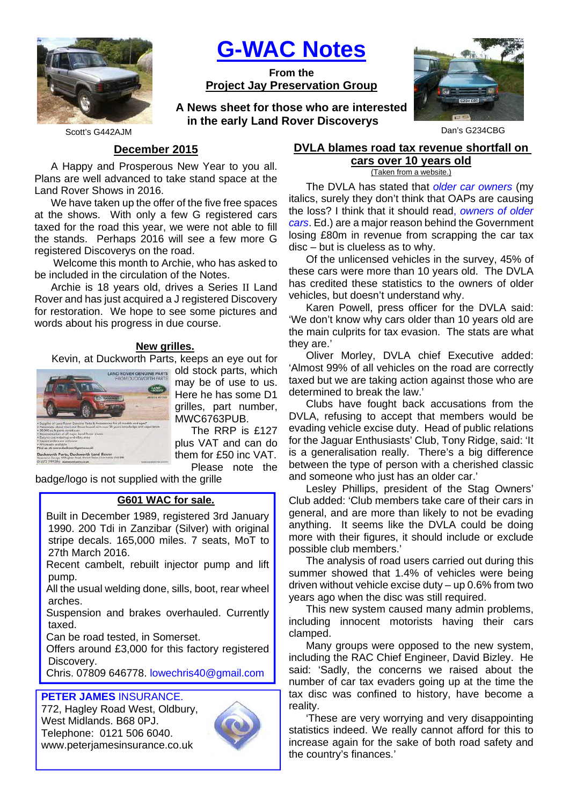

**G-WAC Notes**

**From the Project Jay Preservation Group**

Scott's G442AJM Dan's G234CBG **A News sheet for those who are interested in the early Land Rover Discoverys**



# **December 2015**

A Happy and Prosperous New Year to you all. Plans are well advanced to take stand space at the Land Rover Shows in 2016.

We have taken up the offer of the five free spaces at the shows. With only a few G registered cars taxed for the road this year, we were not able to fill the stands. Perhaps 2016 will see a few more G registered Discoverys on the road.

 Welcome this month to Archie, who has asked to be included in the circulation of the Notes.

Archie is 18 years old, drives a Series II Land Rover and has just acquired a J registered Discovery for restoration. We hope to see some pictures and words about his progress in due course.

### **New grilles.**

Kevin, at Duckworth Parts, keeps an eye out for



old stock parts, which may be of use to us. Here he has some D1 grilles, part number, MWC6763PUB.

The RRP is £127 plus VAT and can do them for £50 inc VAT. Please note the

badge/logo is not supplied with the grille

### **G601 WAC for sale.**

Built in December 1989, registered 3rd January 1990. 200 Tdi in Zanzibar (Silver) with original stripe decals. 165,000 miles. 7 seats, MoT to 27th March 2016.

Recent cambelt, rebuilt injector pump and lift pump.

All the usual welding done, sills, boot, rear wheel arches.

Suspension and brakes overhauled. Currently taxed.

Can be road tested, in Somerset.

Offers around £3,000 for this factory registered Discovery.

Chris. 07809 646778. lowechris40@gmail.com

# **PETER JAMES** INSURANCE.

772, Hagley Road West, Oldbury, West Midlands. B68 0PJ. Telephone: 0121 506 6040. www.peterjamesinsurance.co.uk



# **DVLA blames road tax revenue shortfall on cars over 10 years old**

(Taken from a website.)

The DVLA has stated that older car owners (my italics, surely they don't think that OAPs are causing the loss? I think that it should read, owners of older cars. Ed.) are a major reason behind the Government losing £80m in revenue from scrapping the car tax disc – but is clueless as to why.

Of the unlicensed vehicles in the survey, 45% of these cars were more than 10 years old. The DVLA has credited these statistics to the owners of older vehicles, but doesn't understand why.

Karen Powell, press officer for the DVLA said: 'We don't know why cars older than 10 years old are the main culprits for tax evasion. The stats are what they are.'

Oliver Morley, DVLA chief Executive added: 'Almost 99% of all vehicles on the road are correctly taxed but we are taking action against those who are determined to break the law.'

Clubs have fought back accusations from the DVLA, refusing to accept that members would be evading vehicle excise duty. Head of public relations for the Jaguar Enthusiasts' Club, Tony Ridge, said: 'It is a generalisation really. There's a big difference between the type of person with a cherished classic and someone who just has an older car.'

Lesley Phillips, president of the Stag Owners' Club added: 'Club members take care of their cars in general, and are more than likely to not be evading anything. It seems like the DVLA could be doing more with their figures, it should include or exclude possible club members.'

The analysis of road users carried out during this summer showed that 1.4% of vehicles were being driven without vehicle excise duty – up 0.6% from two years ago when the disc was still required.

This new system caused many admin problems, including innocent motorists having their cars clamped.

Many groups were opposed to the new system, including the RAC Chief Engineer, David Bizley. He said: 'Sadly, the concerns we raised about the number of car tax evaders going up at the time the tax disc was confined to history, have become a reality.

'These are very worrying and very disappointing statistics indeed. We really cannot afford for this to increase again for the sake of both road safety and the country's finances.'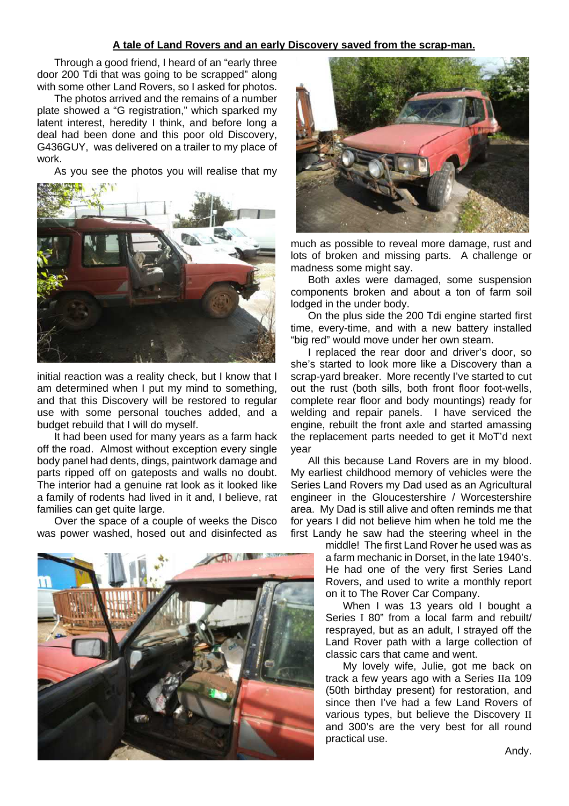# **A tale of Land Rovers and an early Discovery saved from the scrap-man.**

Through a good friend, I heard of an "early three door 200 Tdi that was going to be scrapped" along with some other Land Rovers, so I asked for photos.

The photos arrived and the remains of a number plate showed a "G registration," which sparked my latent interest, heredity I think, and before long a deal had been done and this poor old Discovery, G436GUY, was delivered on a trailer to my place of work.

As you see the photos you will realise that my



initial reaction was a reality check, but I know that I am determined when I put my mind to something, and that this Discovery will be restored to regular use with some personal touches added, and a budget rebuild that I will do myself.

It had been used for many years as a farm hack off the road. Almost without exception every single body panel had dents, dings, paintwork damage and parts ripped off on gateposts and walls no doubt. The interior had a genuine rat look as it looked like a family of rodents had lived in it and, I believe, rat families can get quite large.

Over the space of a couple of weeks the Disco was power washed, hosed out and disinfected as





much as possible to reveal more damage, rust and lots of broken and missing parts. A challenge or madness some might say.

Both axles were damaged, some suspension components broken and about a ton of farm soil lodged in the under body.

On the plus side the 200 Tdi engine started first time, every-time, and with a new battery installed "big red" would move under her own steam.

I replaced the rear door and driver's door, so she's started to look more like a Discovery than a scrap-yard breaker. More recently I've started to cut out the rust (both sills, both front floor foot-wells, complete rear floor and body mountings) ready for welding and repair panels. I have serviced the engine, rebuilt the front axle and started amassing the replacement parts needed to get it MoT'd next year

All this because Land Rovers are in my blood. My earliest childhood memory of vehicles were the Series Land Rovers my Dad used as an Agricultural engineer in the Gloucestershire / Worcestershire area. My Dad is still alive and often reminds me that for years I did not believe him when he told me the first Landy he saw had the steering wheel in the

> middle! The first Land Rover he used was as a farm mechanic in Dorset, in the late 1940's. He had one of the very first Series Land Rovers, and used to write a monthly report on it to The Rover Car Company.

> When I was 13 years old I bought a Series I 80" from a local farm and rebuilt/ resprayed, but as an adult, I strayed off the Land Rover path with a large collection of classic cars that came and went.

> My lovely wife, Julie, got me back on track a few years ago with a Series IIa 109 (50th birthday present) for restoration, and since then I've had a few Land Rovers of various types, but believe the Discovery II and 300's are the very best for all round practical use.

> > Andy.